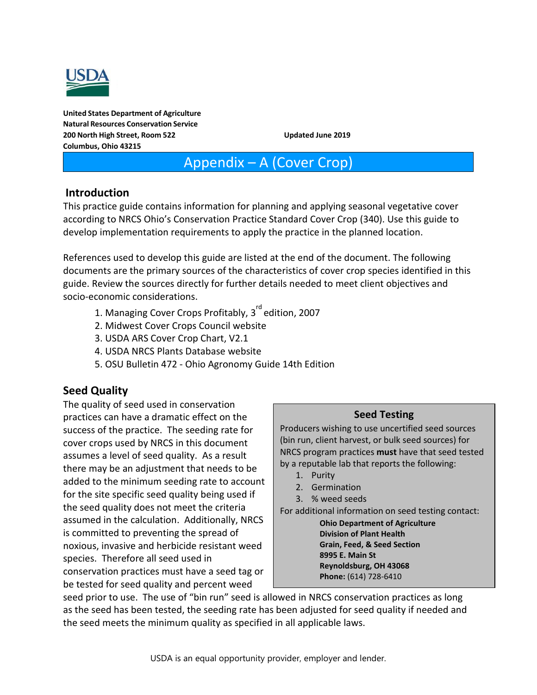

**United States Department of Agriculture Natural Resources Conservation Service 200 North High Street, Room 522 Updated June 2019 Columbus, Ohio 43215**

# Appendix – A (Cover Crop)

#### **Introduction**

This practice guide contains information for planning and applying seasonal vegetative cover according to NRCS Ohio's Conservation Practice Standard Cover Crop (340). Use this guide to develop implementation requirements to apply the practice in the planned location.

References used to develop this guide are listed at the end of the document. The following documents are the primary sources of the characteristics of cover crop species identified in this guide. Review the sources directly for further details needed to meet client objectives and socio-economic considerations.

- 1. Managing Cover Crops Profitably,  $3^{rd}$  edition, 2007
- 2. Midwest Cover Crops Council website
- 3. USDA ARS Cover Crop Chart, V2.1
- 4. USDA NRCS Plants Database website
- 5. OSU Bulletin 472 Ohio Agronomy Guide 14th Edition

### **Seed Quality**

The quality of seed used in conservation practices can have a dramatic effect on the success of the practice. The seeding rate for cover crops used by NRCS in this document assumes a level of seed quality. As a result there may be an adjustment that needs to be added to the minimum seeding rate to account for the site specific seed quality being used if the seed quality does not meet the criteria assumed in the calculation. Additionally, NRCS is committed to preventing the spread of noxious, invasive and herbicide resistant weed species. Therefore all seed used in conservation practices must have a seed tag or be tested for seed quality and percent weed

#### **Seed Testing**

Producers wishing to use uncertified seed sources (bin run, client harvest, or bulk seed sources) for NRCS program practices **must** have that seed tested by a reputable lab that reports the following:

- 1. Purity
- 2. Germination
- 3. % weed seeds

For additional information on seed testing contact:

**Ohio Department of Agriculture Division of Plant Health Grain, Feed, & Seed Section 8995 E. Main St Reynoldsburg, OH 43068 Phone:** (614) 728-6410

seed prior to use. The use of "bin run" seed is allowed in NRCS conservation practices as long as the seed has been tested, the seeding rate has been adjusted for seed quality if needed and the seed meets the minimum quality as specified in all applicable laws.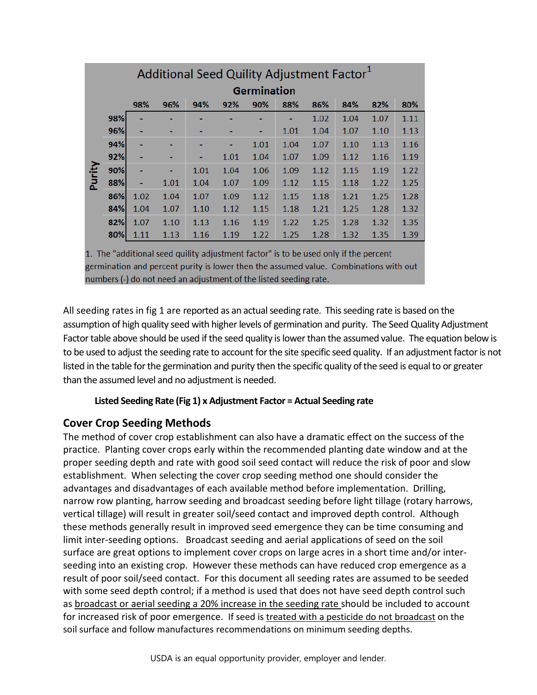| Additional Seed Quility Adjustment Factor <sup>1</sup> |                                                             |                    |      |      |      |      |      |      |      |      |      |  |  |  |  |
|--------------------------------------------------------|-------------------------------------------------------------|--------------------|------|------|------|------|------|------|------|------|------|--|--|--|--|
|                                                        |                                                             | <b>Germination</b> |      |      |      |      |      |      |      |      |      |  |  |  |  |
|                                                        | 98%<br>96%<br>86%<br>84%<br>94%<br>92%<br>90%<br>88%<br>82% |                    |      |      |      |      |      |      |      |      |      |  |  |  |  |
|                                                        | 98%                                                         |                    |      |      |      |      |      | 1.02 | 1.04 | 1.07 | 1.11 |  |  |  |  |
|                                                        | 96%                                                         | ۰                  | ۰    | ۰    |      | ۰    | 1.01 | 1.04 | 1.07 | 1.10 | 1.13 |  |  |  |  |
|                                                        | 94%                                                         | ٠                  | ۰    | ٠    | ۰    | 1.01 | 1.04 | 1.07 | 1.10 | 1.13 | 1.16 |  |  |  |  |
|                                                        | 92%                                                         | ٠                  |      | ۰    | 1.01 | 1.04 | 1.07 | 1.09 | 1.12 | 1.16 | 1.19 |  |  |  |  |
|                                                        | 90%                                                         | ٠                  | ٠    | 1.01 | 1.04 | 1.06 | 1.09 | 1.12 | 1.15 | 1.19 | 1.22 |  |  |  |  |
| Purity                                                 | 88%                                                         | ٠                  | 1.01 | 1.04 | 1.07 | 1.09 | 1.12 | 1.15 | 1.18 | 1.22 | 1.25 |  |  |  |  |
|                                                        | 86%                                                         | 1.02               | 1.04 | 1.07 | 1.09 | 1.12 | 1.15 | 1.18 | 1.21 | 1.25 | 1.28 |  |  |  |  |
|                                                        | 84%                                                         | 1.04               | 1.07 | 1.10 | 1.12 | 1.15 | 1.18 | 1.21 | 1.25 | 1.28 | 1.32 |  |  |  |  |
|                                                        | 82%                                                         | 1.07               | 1.10 | 1.13 | 1.16 | 1.19 | 1.22 | 1.25 | 1.28 | 1.32 | 1.35 |  |  |  |  |
|                                                        | 80%                                                         | 1.11               | 1.13 | 1.16 | 1.19 | 1.22 | 1.25 | 1.28 | 1.32 | 1.35 | 1.39 |  |  |  |  |

1. The "additional seed quility adjustment factor" is to be used only if the percent germination and percent purity is lower then the assumed value. Combinations with out numbers (-) do not need an adjustment of the listed seeding rate.

All seeding rates in fig 1 are reported as an actual seeding rate. This seeding rate is based on the assumption of high quality seed with higher levels of germination and purity. The Seed Quality Adjustment Factor table above should be used if the seed quality is lower than the assumed value. The equation below is to be used to adjust the seeding rate to account for the site specific seed quality. If an adjustment factor is not listed in the table for the germination and purity then the specific quality of the seed is equal to or greater than the assumed level and no adjustment is needed.

#### **Listed Seeding Rate (Fig 1) x Adjustment Factor = Actual Seeding rate**

### **Cover Crop Seeding Methods**

The method of cover crop establishment can also have a dramatic effect on the success of the practice. Planting cover crops early within the recommended planting date window and at the proper seeding depth and rate with good soil seed contact will reduce the risk of poor and slow establishment. When selecting the cover crop seeding method one should consider the advantages and disadvantages of each available method before implementation. Drilling, narrow row planting, harrow seeding and broadcast seeding before light tillage (rotary harrows, vertical tillage) will result in greater soil/seed contact and improved depth control. Although these methods generally result in improved seed emergence they can be time consuming and limit inter-seeding options. Broadcast seeding and aerial applications of seed on the soil surface are great options to implement cover crops on large acres in a short time and/or interseeding into an existing crop. However these methods can have reduced crop emergence as a result of poor soil/seed contact. For this document all seeding rates are assumed to be seeded with some seed depth control; if a method is used that does not have seed depth control such as broadcast or aerial seeding a 20% increase in the seeding rate should be included to account for increased risk of poor emergence. If seed is treated with a pesticide do not broadcast on the soil surface and follow manufactures recommendations on minimum seeding depths.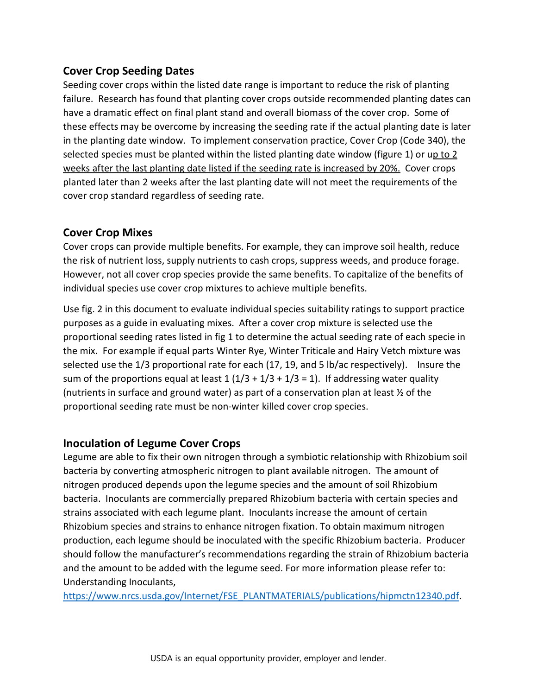#### **Cover Crop Seeding Dates**

Seeding cover crops within the listed date range is important to reduce the risk of planting failure. Research has found that planting cover crops outside recommended planting dates can have a dramatic effect on final plant stand and overall biomass of the cover crop. Some of these effects may be overcome by increasing the seeding rate if the actual planting date is later in the planting date window. To implement conservation practice, Cover Crop (Code 340), the selected species must be planted within the listed planting date window (figure 1) or up to 2 weeks after the last planting date listed if the seeding rate is increased by 20%. Cover crops planted later than 2 weeks after the last planting date will not meet the requirements of the cover crop standard regardless of seeding rate.

#### **Cover Crop Mixes**

Cover crops can provide multiple benefits. For example, they can improve soil health, reduce the risk of nutrient loss, supply nutrients to cash crops, suppress weeds, and produce forage. However, not all cover crop species provide the same benefits. To capitalize of the benefits of individual species use cover crop mixtures to achieve multiple benefits.

Use fig. 2 in this document to evaluate individual species suitability ratings to support practice purposes as a guide in evaluating mixes. After a cover crop mixture is selected use the proportional seeding rates listed in fig 1 to determine the actual seeding rate of each specie in the mix. For example if equal parts Winter Rye, Winter Triticale and Hairy Vetch mixture was selected use the 1/3 proportional rate for each (17, 19, and 5 lb/ac respectively). Insure the sum of the proportions equal at least  $1(1/3 + 1/3 + 1/3 = 1)$ . If addressing water quality (nutrients in surface and ground water) as part of a conservation plan at least ½ of the proportional seeding rate must be non-winter killed cover crop species.

#### **Inoculation of Legume Cover Crops**

Legume are able to fix their own nitrogen through a symbiotic relationship with Rhizobium soil bacteria by converting atmospheric nitrogen to plant available nitrogen. The amount of nitrogen produced depends upon the legume species and the amount of soil Rhizobium bacteria. Inoculants are commercially prepared Rhizobium bacteria with certain species and strains associated with each legume plant. Inoculants increase the amount of certain Rhizobium species and strains to enhance nitrogen fixation. To obtain maximum nitrogen production, each legume should be inoculated with the specific Rhizobium bacteria. Producer should follow the manufacturer's recommendations regarding the strain of Rhizobium bacteria and the amount to be added with the legume seed. For more information please refer to: Understanding Inoculants,

[https://www.nrcs.usda.gov/Internet/FSE\\_PLANTMATERIALS/publications/hipmctn12340.pdf.](https://www.nrcs.usda.gov/Internet/FSE_PLANTMATERIALS/publications/hipmctn12340.pdf)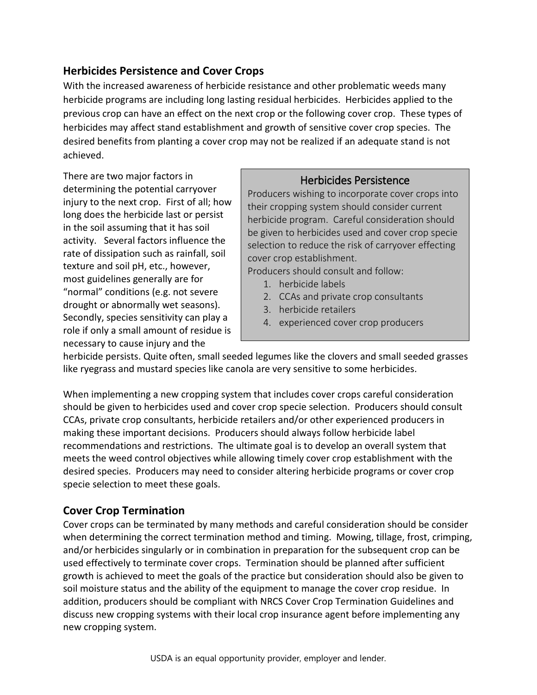#### **Herbicides Persistence and Cover Crops**

With the increased awareness of herbicide resistance and other problematic weeds many herbicide programs are including long lasting residual herbicides. Herbicides applied to the previous crop can have an effect on the next crop or the following cover crop. These types of herbicides may affect stand establishment and growth of sensitive cover crop species. The desired benefits from planting a cover crop may not be realized if an adequate stand is not achieved.

There are two major factors in determining the potential carryover injury to the next crop. First of all; how long does the herbicide last or persist in the soil assuming that it has soil activity. Several factors influence the rate of dissipation such as rainfall, soil texture and soil pH, etc., however, most guidelines generally are for "normal" conditions (e.g. not severe drought or abnormally wet seasons). Secondly, species sensitivity can play a role if only a small amount of residue is necessary to cause injury and the

#### Herbicides Persistence

Producers wishing to incorporate cover crops into their cropping system should consider current herbicide program. Careful consideration should be given to herbicides used and cover crop specie selection to reduce the risk of carryover effecting cover crop establishment.

Producers should consult and follow:

- 1. herbicide labels
- 2. CCAs and private crop consultants
- 3. herbicide retailers
- 4. experienced cover crop producers

herbicide persists. Quite often, small seeded legumes like the clovers and small seeded grasses like ryegrass and mustard species like canola are very sensitive to some herbicides.

When implementing a new cropping system that includes cover crops careful consideration should be given to herbicides used and cover crop specie selection. Producers should consult CCAs, private crop consultants, herbicide retailers and/or other experienced producers in making these important decisions. Producers should always follow herbicide label recommendations and restrictions. The ultimate goal is to develop an overall system that meets the weed control objectives while allowing timely cover crop establishment with the desired species. Producers may need to consider altering herbicide programs or cover crop specie selection to meet these goals.

#### **Cover Crop Termination**

Cover crops can be terminated by many methods and careful consideration should be consider when determining the correct termination method and timing. Mowing, tillage, frost, crimping, and/or herbicides singularly or in combination in preparation for the subsequent crop can be used effectively to terminate cover crops. Termination should be planned after sufficient growth is achieved to meet the goals of the practice but consideration should also be given to soil moisture status and the ability of the equipment to manage the cover crop residue. In addition, producers should be compliant with NRCS Cover Crop Termination Guidelines and discuss new cropping systems with their local crop insurance agent before implementing any new cropping system.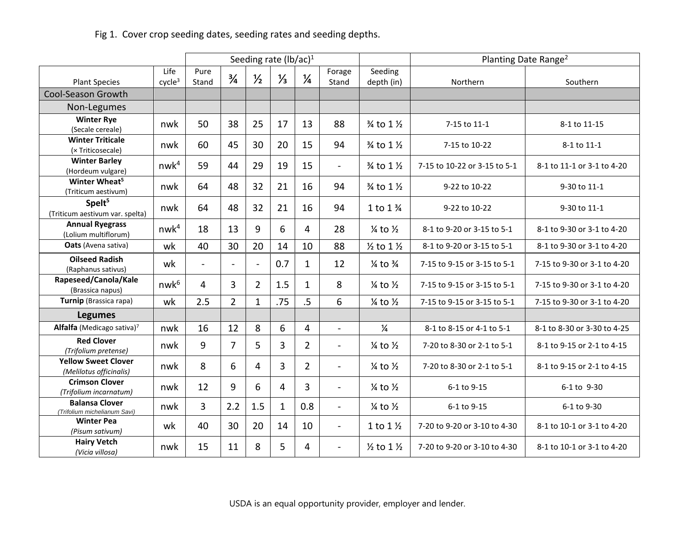## Fig 1. Cover crop seeding dates, seeding rates and seeding depths.

|                                                       |                    |                          | Seeding rate $(lb/ac)^1$ |                |               |                | Planting Date Range <sup>2</sup> |                                  |                              |                             |  |
|-------------------------------------------------------|--------------------|--------------------------|--------------------------|----------------|---------------|----------------|----------------------------------|----------------------------------|------------------------------|-----------------------------|--|
| Life                                                  |                    | Pure                     | $\frac{3}{4}$            | $\frac{1}{2}$  | $\frac{1}{3}$ | $\frac{1}{4}$  | Forage                           | Seeding                          |                              |                             |  |
| <b>Plant Species</b>                                  | cycle <sup>3</sup> | Stand                    |                          |                |               |                | Stand                            | depth (in)                       | Northern                     | Southern                    |  |
| Cool-Season Growth                                    |                    |                          |                          |                |               |                |                                  |                                  |                              |                             |  |
| Non-Legumes                                           |                    |                          |                          |                |               |                |                                  |                                  |                              |                             |  |
| <b>Winter Rye</b><br>(Secale cereale)                 | nwk                | 50                       | 38                       | 25             | 17            | 13             | 88                               | 3⁄4 to 1 1/2                     | 7-15 to 11-1                 | 8-1 to 11-15                |  |
| <b>Winter Triticale</b><br>(× Triticosecale)          | nwk                | 60                       | 45                       | 30             | 20            | 15             | 94                               | 3⁄4 to 1 1/2                     | 7-15 to 10-22                | 8-1 to 11-1                 |  |
| <b>Winter Barley</b><br>(Hordeum vulgare)             | nwk <sup>4</sup>   | 59                       | 44                       | 29             | 19            | 15             | $\overline{\phantom{a}}$         | 3⁄4 to 1 1/2                     | 7-15 to 10-22 or 3-15 to 5-1 | 8-1 to 11-1 or 3-1 to 4-20  |  |
| Winter Wheat <sup>5</sup><br>(Triticum aestivum)      | nwk                | 64                       | 48                       | 32             | 21            | 16             | 94                               | 3⁄4 to 1 1/2                     | 9-22 to 10-22                | 9-30 to 11-1                |  |
| Spelt <sup>5</sup><br>(Triticum aestivum var. spelta) | nwk                | 64                       | 48                       | 32             | 21            | 16             | 94                               | 1 to 1 %                         | 9-22 to 10-22                | 9-30 to 11-1                |  |
| <b>Annual Ryegrass</b><br>(Lolium multiflorum)        | nwk <sup>4</sup>   | 18                       | 13                       | 9              | 6             | 4              | 28                               | $\frac{1}{4}$ to $\frac{1}{2}$   | 8-1 to 9-20 or 3-15 to 5-1   | 8-1 to 9-30 or 3-1 to 4-20  |  |
| Oats (Avena sativa)                                   | wk                 | 40                       | 30                       | 20             | 14            | 10             | 88                               | $\frac{1}{2}$ to 1 $\frac{1}{2}$ | 8-1 to 9-20 or 3-15 to 5-1   | 8-1 to 9-30 or 3-1 to 4-20  |  |
| <b>Oilseed Radish</b><br>(Raphanus sativus)           | wk                 | $\overline{\phantom{a}}$ | $\overline{\phantom{a}}$ | $\overline{a}$ | 0.7           | 1              | 12                               | $\frac{1}{4}$ to $\frac{3}{4}$   | 7-15 to 9-15 or 3-15 to 5-1  | 7-15 to 9-30 or 3-1 to 4-20 |  |
| Rapeseed/Canola/Kale<br>(Brassica napus)              | nwk <sup>6</sup>   | $\overline{4}$           | 3                        | $\overline{2}$ | 1.5           | $\mathbf{1}$   | 8                                | $\frac{1}{4}$ to $\frac{1}{2}$   | 7-15 to 9-15 or 3-15 to 5-1  | 7-15 to 9-30 or 3-1 to 4-20 |  |
| Turnip (Brassica rapa)                                | wk                 | 2.5                      | $\overline{2}$           | $\mathbf{1}$   | .75           | $.5\,$         | 6                                | $\frac{1}{4}$ to $\frac{1}{2}$   | 7-15 to 9-15 or 3-15 to 5-1  | 7-15 to 9-30 or 3-1 to 4-20 |  |
| <b>Legumes</b>                                        |                    |                          |                          |                |               |                |                                  |                                  |                              |                             |  |
| Alfalfa (Medicago sativa)7                            | nwk                | 16                       | 12                       | 8              | 6             | $\overline{4}$ | $\overline{a}$                   | $\frac{1}{4}$                    | 8-1 to 8-15 or 4-1 to 5-1    | 8-1 to 8-30 or 3-30 to 4-25 |  |
| <b>Red Clover</b><br>(Trifolium pretense)             | nwk                | 9                        | $\overline{7}$           | 5              | 3             | $\overline{2}$ | $\blacksquare$                   | $\frac{1}{4}$ to $\frac{1}{2}$   | 7-20 to 8-30 or 2-1 to 5-1   | 8-1 to 9-15 or 2-1 to 4-15  |  |
| <b>Yellow Sweet Clover</b><br>(Melilotus officinalis) | nwk                | 8                        | 6                        | 4              | 3             | $\overline{2}$ | $\overline{a}$                   | $\frac{1}{4}$ to $\frac{1}{2}$   | 7-20 to 8-30 or 2-1 to 5-1   | 8-1 to 9-15 or 2-1 to 4-15  |  |
| <b>Crimson Clover</b><br>(Trifolium incarnatum)       | nwk                | 12                       | 9                        | 6              | 4             | 3              | $\overline{\phantom{a}}$         | $\frac{1}{4}$ to $\frac{1}{2}$   | 6-1 to 9-15                  | 6-1 to 9-30                 |  |
| <b>Balansa Clover</b><br>(Trifolium michelianum Savi) | nwk                | 3                        | 2.2                      | 1.5            | $\mathbf 1$   | 0.8            | $\overline{\phantom{a}}$         | $\frac{1}{4}$ to $\frac{1}{2}$   | 6-1 to 9-15                  | 6-1 to 9-30                 |  |
| <b>Winter Pea</b><br>(Pisum sativum)                  | wk                 | 40                       | 30                       | 20             | 14            | 10             | $\overline{a}$                   | 1 to $1\frac{1}{2}$              | 7-20 to 9-20 or 3-10 to 4-30 | 8-1 to 10-1 or 3-1 to 4-20  |  |
| <b>Hairy Vetch</b><br>(Vicia villosa)                 | nwk                | 15                       | 11                       | 8              | 5             | $\overline{4}$ | $\blacksquare$                   | $\frac{1}{2}$ to 1 $\frac{1}{2}$ | 7-20 to 9-20 or 3-10 to 4-30 | 8-1 to 10-1 or 3-1 to 4-20  |  |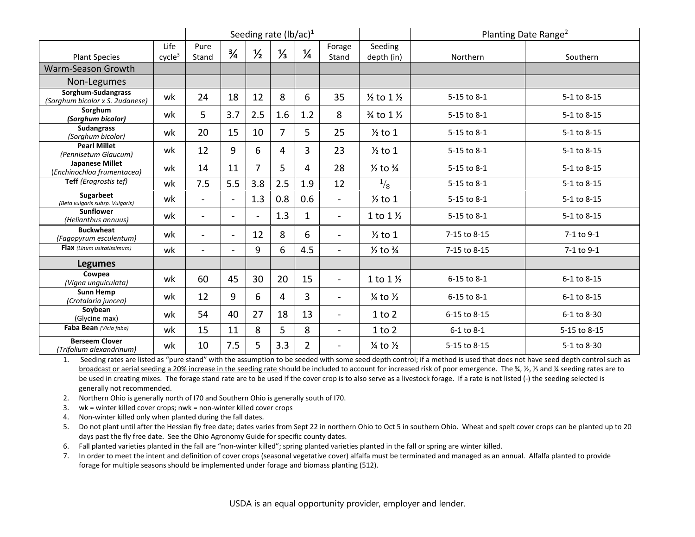|                                                       | Seeding rate $(lb/ac)^1$   |                          |                |                |                |                |                          | Planting Date Range <sup>2</sup> |              |              |
|-------------------------------------------------------|----------------------------|--------------------------|----------------|----------------|----------------|----------------|--------------------------|----------------------------------|--------------|--------------|
| <b>Plant Species</b>                                  | Life<br>cycle <sup>3</sup> | Pure<br>Stand            | $\frac{3}{4}$  | $\frac{1}{2}$  | $\frac{1}{3}$  | $\frac{1}{4}$  | Forage<br>Stand          | Seeding<br>depth (in)            | Northern     | Southern     |
| Warm-Season Growth                                    |                            |                          |                |                |                |                |                          |                                  |              |              |
| Non-Legumes                                           |                            |                          |                |                |                |                |                          |                                  |              |              |
| Sorghum-Sudangrass<br>(Sorghum bicolor x S. 2udanese) | wk                         | 24                       | 18             | 12             | 8              | 6              | 35                       | $\frac{1}{2}$ to 1 $\frac{1}{2}$ | 5-15 to 8-1  | 5-1 to 8-15  |
| Sorghum<br>(Sorghum bicolor)                          | wk                         | 5                        | 3.7            | 2.5            | 1.6            | 1.2            | 8                        | 3⁄4 to 1 1/2                     | 5-15 to 8-1  | 5-1 to 8-15  |
| <b>Sudangrass</b><br>(Sorghum bicolor)                | wk                         | 20                       | 15             | 10             | $\overline{7}$ | 5              | 25                       | $\frac{1}{2}$ to 1               | 5-15 to 8-1  | 5-1 to 8-15  |
| <b>Pearl Millet</b><br>(Pennisetum Glaucum)           | wk                         | 12                       | 9              | 6              | 4              | 3              | 23                       | $\frac{1}{2}$ to 1               | 5-15 to 8-1  | 5-1 to 8-15  |
| <b>Japanese Millet</b><br>(Enchinochloa frumentacea)  | wk                         | 14                       | 11             | 7              | 5              | 4              | 28                       | $\frac{1}{2}$ to $\frac{3}{4}$   | 5-15 to 8-1  | 5-1 to 8-15  |
| Teff (Eragrostis tef)                                 | wk                         | 7.5                      | 5.5            | 3.8            | 2.5            | 1.9            | 12                       | $^{1/3}$                         | 5-15 to 8-1  | 5-1 to 8-15  |
| Sugarbeet<br>(Beta vulgaris subsp. Vulgaris)          | wk                         | $\overline{\phantom{a}}$ | $\blacksquare$ | 1.3            | 0.8            | 0.6            | $\blacksquare$           | $\frac{1}{2}$ to 1               | 5-15 to 8-1  | 5-1 to 8-15  |
| <b>Sunflower</b><br>(Helianthus annuus)               | wk                         | $\blacksquare$           | $\blacksquare$ | $\overline{a}$ | 1.3            | 1              | $\blacksquare$           | 1 to $1\frac{1}{2}$              | 5-15 to 8-1  | 5-1 to 8-15  |
| <b>Buckwheat</b><br>(Fagopyrum esculentum)            | wk                         | $\blacksquare$           | $\blacksquare$ | 12             | 8              | 6              | $\blacksquare$           | $\frac{1}{2}$ to 1               | 7-15 to 8-15 | 7-1 to 9-1   |
| Flax (Linum usitatissimum)                            | wk                         |                          |                | 9              | 6              | 4.5            | $\overline{\phantom{0}}$ | $\frac{1}{2}$ to $\frac{3}{4}$   | 7-15 to 8-15 | 7-1 to 9-1   |
| <b>Legumes</b>                                        |                            |                          |                |                |                |                |                          |                                  |              |              |
| Cowpea<br>(Vigna unguiculata)                         | wk                         | 60                       | 45             | 30             | 20             | 15             | $\blacksquare$           | 1 to $1\frac{1}{2}$              | 6-15 to 8-1  | 6-1 to 8-15  |
| <b>Sunn Hemp</b><br>(Crotalaria juncea)               | wk                         | 12                       | 9              | 6              | 4              | 3              | $\blacksquare$           | $\frac{1}{4}$ to $\frac{1}{2}$   | 6-15 to 8-1  | 6-1 to 8-15  |
| Soybean<br>(Glycine max)                              | wk                         | 54                       | 40             | 27             | 18             | 13             | $\overline{\phantom{a}}$ | 1 to 2                           | 6-15 to 8-15 | 6-1 to 8-30  |
| Faba Bean (Vicia faba)                                | wk                         | 15                       | 11             | 8              | 5              | 8              | $\blacksquare$           | 1 to 2                           | 6-1 to 8-1   | 5-15 to 8-15 |
| <b>Berseem Clover</b><br>(Trifolium alexandrinum)     | wk                         | 10                       | 7.5            | 5              | 3.3            | $\overline{2}$ | $\overline{\phantom{0}}$ | $\frac{1}{4}$ to $\frac{1}{2}$   | 5-15 to 8-15 | 5-1 to 8-30  |

1. Seeding rates are listed as "pure stand" with the assumption to be seeded with some seed depth control; if a method is used that does not have seed depth control such as broadcast or aerial seeding a 20% increase in the seeding rate should be included to account for increased risk of poor emergence. The ¾, ½, ⅓ and ¼ seeding rates are to be used in creating mixes. The forage stand rate are to be used if the cover crop is to also serve as a livestock forage. If a rate is not listed (-) the seeding selected is generally not recommended.

- 2. Northern Ohio is generally north of I70 and Southern Ohio is generally south of I70.
- 3. wk = winter killed cover crops; nwk = non-winter killed cover crops
- 4. Non-winter killed only when planted during the fall dates.
- 5. Do not plant until after the Hessian fly free date; dates varies from Sept 22 in northern Ohio to Oct 5 in southern Ohio. Wheat and spelt cover crops can be planted up to 20 days past the fly free date. See the Ohio Agronomy Guide for specific county dates.
- 6. Fall planted varieties planted in the fall are "non-winter killed"; spring planted varieties planted in the fall or spring are winter killed.
- 7. In order to meet the intent and definition of cover crops (seasonal vegetative cover) alfalfa must be terminated and managed as an annual. Alfalfa planted to provide forage for multiple seasons should be implemented under forage and biomass planting (512).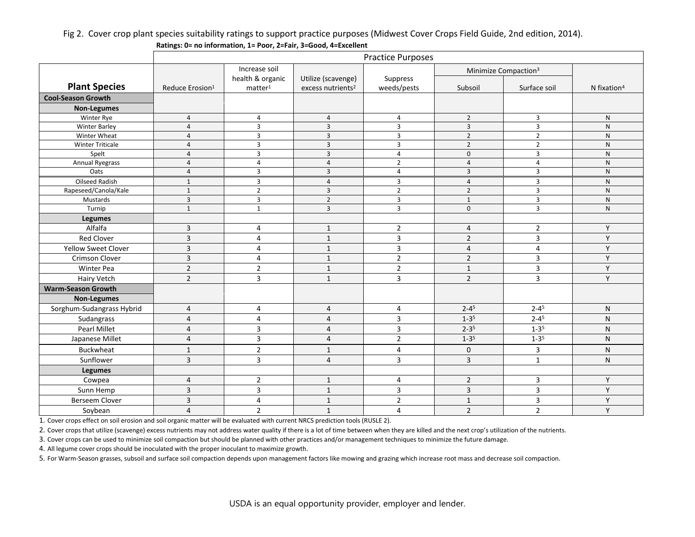#### Fig 2. Cover crop plant species suitability ratings to support practice purposes (Midwest Cover Crops Field Guide, 2nd edition, 2014). **Ratings: 0= no information, 1= Poor, 2=Fair, 3=Good, 4=Excellent**

|                            | <b>Practice Purposes</b>    |                     |                               |                         |                                  |                       |                         |  |  |
|----------------------------|-----------------------------|---------------------|-------------------------------|-------------------------|----------------------------------|-----------------------|-------------------------|--|--|
|                            |                             | Increase soil       |                               |                         | Minimize Compaction <sup>3</sup> |                       |                         |  |  |
|                            |                             | health & organic    | Utilize (scavenge)            | Suppress                |                                  |                       |                         |  |  |
| <b>Plant Species</b>       | Reduce Erosion <sup>1</sup> | matter <sup>1</sup> | excess nutrients <sup>2</sup> | weeds/pests             | Subsoil                          | Surface soil          | N fixation <sup>4</sup> |  |  |
| <b>Cool-Season Growth</b>  |                             |                     |                               |                         |                                  |                       |                         |  |  |
| <b>Non-Legumes</b>         |                             |                     |                               |                         |                                  |                       |                         |  |  |
| Winter Rye                 | $\overline{4}$              | 4                   | $\overline{4}$                | 4                       | $\overline{2}$                   | 3                     | N                       |  |  |
| <b>Winter Barley</b>       | $\overline{4}$              | 3                   | $\overline{3}$                | $\overline{3}$          | 3                                | 3                     | N                       |  |  |
| Winter Wheat               | $\overline{4}$              | 3                   | $\overline{3}$                | $\overline{3}$          | $\overline{2}$                   | $\overline{2}$        | N                       |  |  |
| <b>Winter Triticale</b>    | $\overline{4}$              | 3                   | $\overline{3}$                | $\overline{3}$          | $\overline{2}$                   | $\overline{2}$        | ${\sf N}$               |  |  |
| Spelt                      | $\overline{4}$              | 3                   | $\overline{3}$                | $\overline{4}$          | $\mathbf 0$                      | $\overline{3}$        | N                       |  |  |
| <b>Annual Ryegrass</b>     | $\overline{4}$              | 4                   | $\overline{4}$                | $\overline{2}$          | $\overline{4}$                   | $\overline{4}$        | N                       |  |  |
| Oats                       | $\overline{4}$              | 3                   | $\overline{3}$                | $\overline{4}$          | $\overline{3}$                   | $\overline{3}$        | ${\sf N}$               |  |  |
| <b>Oilseed Radish</b>      | $\mathbf{1}$                | 3                   | $\overline{4}$                | 3                       | $\overline{4}$                   | $\overline{3}$        | $\mathsf{N}$            |  |  |
| Rapeseed/Canola/Kale       | $\mathbf{1}$                | $\overline{2}$      | 3                             | $\overline{2}$          | $\overline{2}$                   | $\overline{3}$        | ${\sf N}$               |  |  |
| Mustards                   | $\overline{3}$              | 3                   | $\overline{2}$                | 3                       | $\mathbf{1}$                     | $\overline{3}$        | ${\sf N}$               |  |  |
| Turnip                     | $\mathbf{1}$                | $\mathbf{1}$        | $\overline{3}$                | 3                       | $\mathbf 0$                      | $\overline{3}$        | ${\sf N}$               |  |  |
| <b>Legumes</b>             |                             |                     |                               |                         |                                  |                       |                         |  |  |
| Alfalfa                    | $\overline{\mathbf{3}}$     | 4                   | $\mathbf{1}$                  | $\mathbf 2$             | $\overline{4}$                   | $\overline{2}$        | Y                       |  |  |
| <b>Red Clover</b>          | $\overline{3}$              | 4                   | $\mathbf{1}$                  | 3                       | $\overline{2}$                   | 3                     | Y                       |  |  |
| <b>Yellow Sweet Clover</b> | $\overline{3}$              | 4                   | $\mathbf{1}$                  | 3                       | $\overline{4}$                   | 4                     | Y                       |  |  |
| <b>Crimson Clover</b>      | $\overline{3}$              | $\overline{4}$      | $\mathbf{1}$                  | $\overline{2}$          | $\overline{2}$                   | $\overline{3}$        | Y                       |  |  |
| Winter Pea                 | $\overline{2}$              | $\overline{2}$      | $\mathbf{1}$                  | $\overline{2}$          | $\mathbf{1}$                     | 3                     | Y                       |  |  |
| Hairy Vetch                | $\overline{2}$              | 3                   | $\mathbf{1}$                  | 3                       | $\overline{2}$                   | 3                     | Y                       |  |  |
| <b>Warm-Season Growth</b>  |                             |                     |                               |                         |                                  |                       |                         |  |  |
| <b>Non-Legumes</b>         |                             |                     |                               |                         |                                  |                       |                         |  |  |
| Sorghum-Sudangrass Hybrid  | 4                           | 4                   | $\overline{4}$                | 4                       | $2 - 4^5$                        | $2 - 4^5$             | $\mathsf{N}$            |  |  |
| Sudangrass                 | $\overline{4}$              | $\overline{4}$      | $\overline{4}$                | 3                       | $1 - 3^{5}$                      | $2 - 4^{\frac{1}{5}}$ | N                       |  |  |
| <b>Pearl Millet</b>        | $\overline{4}$              | 3                   | $\overline{4}$                | $\overline{\mathbf{3}}$ | $2 - 3^{5}$                      | $1 - 3^{5}$           | ${\sf N}$               |  |  |
| Japanese Millet            | $\overline{4}$              | 3                   | $\overline{4}$                | $\overline{2}$          | $1 - 3^{5}$                      | $1 - 35$              | N                       |  |  |
| <b>Buckwheat</b>           | 1                           | $\overline{2}$      | $\mathbf{1}$                  | 4                       | $\mathbf 0$                      | 3                     | N                       |  |  |
| Sunflower                  | $\overline{3}$              | 3                   | $\overline{4}$                | 3                       | $\overline{3}$                   | $\mathbf{1}$          | N                       |  |  |
| <b>Legumes</b>             |                             |                     |                               |                         |                                  |                       |                         |  |  |
| Cowpea                     | $\overline{4}$              | $\overline{2}$      | $\mathbf{1}$                  | $\overline{4}$          | $\overline{2}$                   | 3                     | Y                       |  |  |
| Sunn Hemp                  | 3                           | 3                   | $\mathbf{1}$                  | 3                       | $\overline{3}$                   | 3                     | Y                       |  |  |
| <b>Berseem Clover</b>      | 3                           | 4                   | $\mathbf{1}$                  | $\mathbf 2$             | $\mathbf{1}$                     | 3                     | Y                       |  |  |
| Soybean                    | $\overline{4}$              | $\overline{2}$      | $\mathbf{1}$                  | $\overline{4}$          | $\overline{2}$                   | $\overline{2}$        | Y                       |  |  |

1. Cover crops effect on soil erosion and soil organic matter will be evaluated with current NRCS prediction tools (RUSLE 2).

2. Cover crops that utilize (scavenge) excess nutrients may not address water quality if there is a lot of time between when they are killed and the next crop's utilization of the nutrients.

3. Cover crops can be used to minimize soil compaction but should be planned with other practices and/or management techniques to minimize the future damage.

4. All legume cover crops should be inoculated with the proper inoculant to maximize growth.

5. For Warm-Season grasses, subsoil and surface soil compaction depends upon management factors like mowing and grazing which increase root mass and decrease soil compaction.